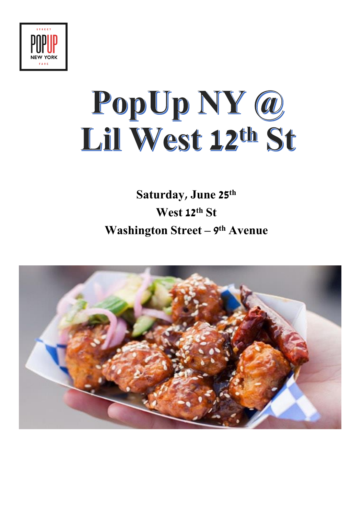

## PopUp NY @ Lil West 12th St

## **Saturday, June 25th West 12th St Washington Street – 9 th Avenue**